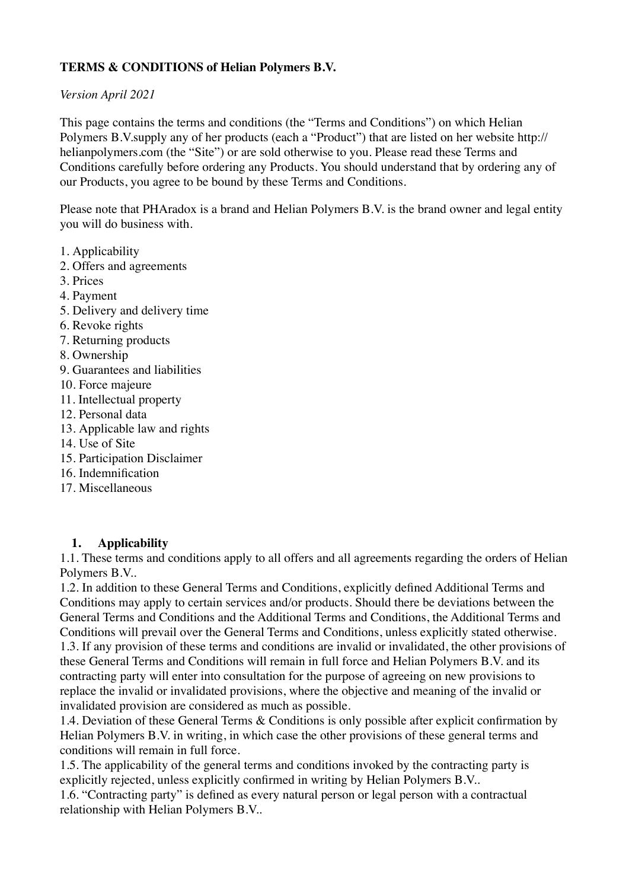# **TERMS & CONDITIONS of Helian Polymers B.V.**

#### *Version April 2021*

This page contains the terms and conditions (the "Terms and Conditions") on which Helian Polymers B.V.supply any of her products (each a "Product") that are listed on her website http:// helianpolymers.com (the "Site") or are sold otherwise to you. Please read these Terms and Conditions carefully before ordering any Products. You should understand that by ordering any of our Products, you agree to be bound by these Terms and Conditions.

Please note that PHAradox is a brand and Helian Polymers B.V. is the brand owner and legal entity you will do business with.

- 1. Applicability
- 2. Offers and agreements
- 3. Prices
- 4. Payment
- 5. Delivery and delivery time
- 6. Revoke rights
- 7. Returning products
- 8. Ownership
- 9. Guarantees and liabilities
- 10. Force majeure
- 11. Intellectual property
- 12. Personal data
- 13. Applicable law and rights
- 14. Use of Site
- 15. Participation Disclaimer
- 16. Indemnification
- 17. Miscellaneous

### **1. Applicability**

1.1. These terms and conditions apply to all offers and all agreements regarding the orders of Helian Polymers B.V..

1.2. In addition to these General Terms and Conditions, explicitly defined Additional Terms and Conditions may apply to certain services and/or products. Should there be deviations between the General Terms and Conditions and the Additional Terms and Conditions, the Additional Terms and Conditions will prevail over the General Terms and Conditions, unless explicitly stated otherwise. 1.3. If any provision of these terms and conditions are invalid or invalidated, the other provisions of these General Terms and Conditions will remain in full force and Helian Polymers B.V. and its contracting party will enter into consultation for the purpose of agreeing on new provisions to replace the invalid or invalidated provisions, where the objective and meaning of the invalid or invalidated provision are considered as much as possible.

1.4. Deviation of these General Terms & Conditions is only possible after explicit confirmation by Helian Polymers B.V. in writing, in which case the other provisions of these general terms and conditions will remain in full force.

1.5. The applicability of the general terms and conditions invoked by the contracting party is explicitly rejected, unless explicitly confirmed in writing by Helian Polymers B.V..

1.6. "Contracting party" is defined as every natural person or legal person with a contractual relationship with Helian Polymers B.V..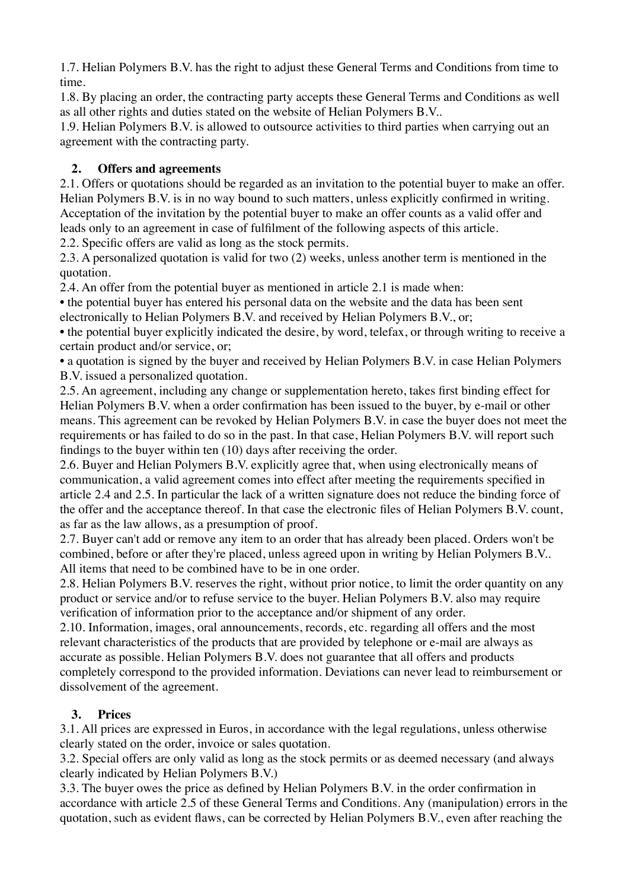1.7. Helian Polymers B.V. has the right to adjust these General Terms and Conditions from time to time.

1.8. By placing an order, the contracting party accepts these General Terms and Conditions as well as all other rights and duties stated on the website of Helian Polymers B.V..

1.9. Helian Polymers B.V. is allowed to outsource activities to third parties when carrying out an agreement with the contracting party.

# **2. Offers and agreements**

2.1. Offers or quotations should be regarded as an invitation to the potential buyer to make an offer. Helian Polymers B.V. is in no way bound to such matters, unless explicitly confirmed in writing. Acceptation of the invitation by the potential buyer to make an offer counts as a valid offer and leads only to an agreement in case of fulfilment of the following aspects of this article.

2.2. Specific offers are valid as long as the stock permits.

2.3. A personalized quotation is valid for two (2) weeks, unless another term is mentioned in the quotation.

2.4. An offer from the potential buyer as mentioned in article 2.1 is made when:

• the potential buyer has entered his personal data on the website and the data has been sent electronically to Helian Polymers B.V. and received by Helian Polymers B.V., or;

• the potential buyer explicitly indicated the desire, by word, telefax, or through writing to receive a certain product and/or service, or;

• a quotation is signed by the buyer and received by Helian Polymers B.V. in case Helian Polymers B.V. issued a personalized quotation.

2.5. An agreement, including any change or supplementation hereto, takes first binding effect for Helian Polymers B.V. when a order confirmation has been issued to the buyer, by e-mail or other means. This agreement can be revoked by Helian Polymers B.V. in case the buyer does not meet the requirements or has failed to do so in the past. In that case, Helian Polymers B.V. will report such findings to the buyer within ten (10) days after receiving the order.

2.6. Buyer and Helian Polymers B.V. explicitly agree that, when using electronically means of communication, a valid agreement comes into effect after meeting the requirements specified in article 2.4 and 2.5. In particular the lack of a written signature does not reduce the binding force of the offer and the acceptance thereof. In that case the electronic files of Helian Polymers B.V. count, as far as the law allows, as a presumption of proof.

2.7. Buyer can't add or remove any item to an order that has already been placed. Orders won't be combined, before or after they're placed, unless agreed upon in writing by Helian Polymers B.V.. All items that need to be combined have to be in one order.

2.8. Helian Polymers B.V. reserves the right, without prior notice, to limit the order quantity on any product or service and/or to refuse service to the buyer. Helian Polymers B.V. also may require verification of information prior to the acceptance and/or shipment of any order.

2.10. Information, images, oral announcements, records, etc. regarding all offers and the most relevant characteristics of the products that are provided by telephone or e-mail are always as accurate as possible. Helian Polymers B.V. does not guarantee that all offers and products completely correspond to the provided information. Deviations can never lead to reimbursement or dissolvement of the agreement.

# **3. Prices**

3.1. All prices are expressed in Euros, in accordance with the legal regulations, unless otherwise clearly stated on the order, invoice or sales quotation.

3.2. Special offers are only valid as long as the stock permits or as deemed necessary (and always clearly indicated by Helian Polymers B.V.)

3.3. The buyer owes the price as defined by Helian Polymers B.V. in the order confirmation in accordance with article 2.5 of these General Terms and Conditions. Any (manipulation) errors in the quotation, such as evident flaws, can be corrected by Helian Polymers B.V., even after reaching the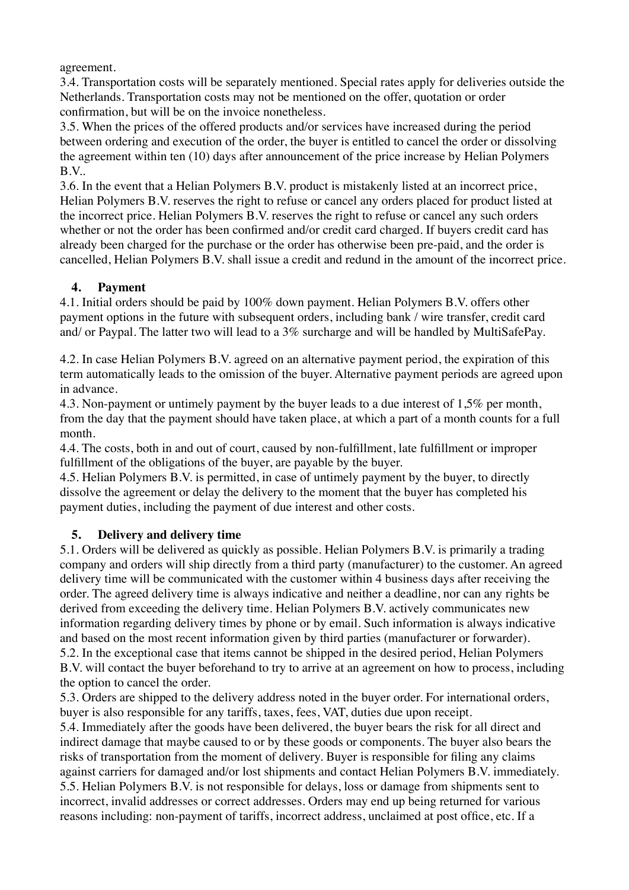agreement.

3.4. Transportation costs will be separately mentioned. Special rates apply for deliveries outside the Netherlands. Transportation costs may not be mentioned on the offer, quotation or order confirmation, but will be on the invoice nonetheless.

3.5. When the prices of the offered products and/or services have increased during the period between ordering and execution of the order, the buyer is entitled to cancel the order or dissolving the agreement within ten (10) days after announcement of the price increase by Helian Polymers B.V..

3.6. In the event that a Helian Polymers B.V. product is mistakenly listed at an incorrect price, Helian Polymers B.V. reserves the right to refuse or cancel any orders placed for product listed at the incorrect price. Helian Polymers B.V. reserves the right to refuse or cancel any such orders whether or not the order has been confirmed and/or credit card charged. If buyers credit card has already been charged for the purchase or the order has otherwise been pre-paid, and the order is cancelled, Helian Polymers B.V. shall issue a credit and redund in the amount of the incorrect price.

### **4. Payment**

4.1. Initial orders should be paid by 100% down payment. Helian Polymers B.V. offers other payment options in the future with subsequent orders, including bank / wire transfer, credit card and/ or Paypal. The latter two will lead to a 3% surcharge and will be handled by MultiSafePay.

4.2. In case Helian Polymers B.V. agreed on an alternative payment period, the expiration of this term automatically leads to the omission of the buyer. Alternative payment periods are agreed upon in advance.

4.3. Non-payment or untimely payment by the buyer leads to a due interest of 1,5% per month, from the day that the payment should have taken place, at which a part of a month counts for a full month.

4.4. The costs, both in and out of court, caused by non-fulfillment, late fulfillment or improper fulfillment of the obligations of the buyer, are payable by the buyer.

4.5. Helian Polymers B.V. is permitted, in case of untimely payment by the buyer, to directly dissolve the agreement or delay the delivery to the moment that the buyer has completed his payment duties, including the payment of due interest and other costs.

### **5. Delivery and delivery time**

5.1. Orders will be delivered as quickly as possible. Helian Polymers B.V. is primarily a trading company and orders will ship directly from a third party (manufacturer) to the customer. An agreed delivery time will be communicated with the customer within 4 business days after receiving the order. The agreed delivery time is always indicative and neither a deadline, nor can any rights be derived from exceeding the delivery time. Helian Polymers B.V. actively communicates new information regarding delivery times by phone or by email. Such information is always indicative and based on the most recent information given by third parties (manufacturer or forwarder). 5.2. In the exceptional case that items cannot be shipped in the desired period, Helian Polymers B.V. will contact the buyer beforehand to try to arrive at an agreement on how to process, including the option to cancel the order.

5.3. Orders are shipped to the delivery address noted in the buyer order. For international orders, buyer is also responsible for any tariffs, taxes, fees, VAT, duties due upon receipt.

5.4. Immediately after the goods have been delivered, the buyer bears the risk for all direct and indirect damage that maybe caused to or by these goods or components. The buyer also bears the risks of transportation from the moment of delivery. Buyer is responsible for filing any claims against carriers for damaged and/or lost shipments and contact Helian Polymers B.V. immediately. 5.5. Helian Polymers B.V. is not responsible for delays, loss or damage from shipments sent to incorrect, invalid addresses or correct addresses. Orders may end up being returned for various reasons including: non-payment of tariffs, incorrect address, unclaimed at post office, etc. If a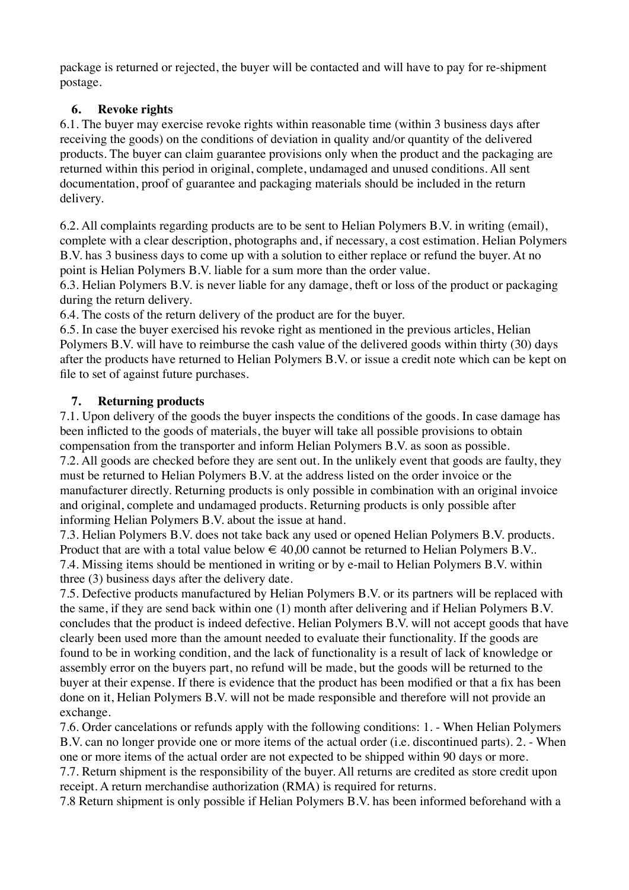package is returned or rejected, the buyer will be contacted and will have to pay for re-shipment postage.

# **6. Revoke rights**

6.1. The buyer may exercise revoke rights within reasonable time (within 3 business days after receiving the goods) on the conditions of deviation in quality and/or quantity of the delivered products. The buyer can claim guarantee provisions only when the product and the packaging are returned within this period in original, complete, undamaged and unused conditions. All sent documentation, proof of guarantee and packaging materials should be included in the return delivery.

6.2. All complaints regarding products are to be sent to Helian Polymers B.V. in writing (email), complete with a clear description, photographs and, if necessary, a cost estimation. Helian Polymers B.V. has 3 business days to come up with a solution to either replace or refund the buyer. At no point is Helian Polymers B.V. liable for a sum more than the order value.

6.3. Helian Polymers B.V. is never liable for any damage, theft or loss of the product or packaging during the return delivery.

6.4. The costs of the return delivery of the product are for the buyer.

6.5. In case the buyer exercised his revoke right as mentioned in the previous articles, Helian Polymers B.V. will have to reimburse the cash value of the delivered goods within thirty (30) days after the products have returned to Helian Polymers B.V. or issue a credit note which can be kept on file to set of against future purchases.

# **7. Returning products**

7.1. Upon delivery of the goods the buyer inspects the conditions of the goods. In case damage has been inflicted to the goods of materials, the buyer will take all possible provisions to obtain compensation from the transporter and inform Helian Polymers B.V. as soon as possible. 7.2. All goods are checked before they are sent out. In the unlikely event that goods are faulty, they must be returned to Helian Polymers B.V. at the address listed on the order invoice or the manufacturer directly. Returning products is only possible in combination with an original invoice and original, complete and undamaged products. Returning products is only possible after informing Helian Polymers B.V. about the issue at hand.

7.3. Helian Polymers B.V. does not take back any used or opened Helian Polymers B.V. products. Product that are with a total value below  $\epsilon$  40,00 cannot be returned to Helian Polymers B.V.. 7.4. Missing items should be mentioned in writing or by e-mail to Helian Polymers B.V. within three (3) business days after the delivery date.

7.5. Defective products manufactured by Helian Polymers B.V. or its partners will be replaced with the same, if they are send back within one (1) month after delivering and if Helian Polymers B.V. concludes that the product is indeed defective. Helian Polymers B.V. will not accept goods that have clearly been used more than the amount needed to evaluate their functionality. If the goods are found to be in working condition, and the lack of functionality is a result of lack of knowledge or assembly error on the buyers part, no refund will be made, but the goods will be returned to the buyer at their expense. If there is evidence that the product has been modified or that a fix has been done on it, Helian Polymers B.V. will not be made responsible and therefore will not provide an exchange.

7.6. Order cancelations or refunds apply with the following conditions: 1. - When Helian Polymers B.V. can no longer provide one or more items of the actual order (i.e. discontinued parts). 2. - When one or more items of the actual order are not expected to be shipped within 90 days or more.

7.7. Return shipment is the responsibility of the buyer. All returns are credited as store credit upon receipt. A return merchandise authorization (RMA) is required for returns.

7.8 Return shipment is only possible if Helian Polymers B.V. has been informed beforehand with a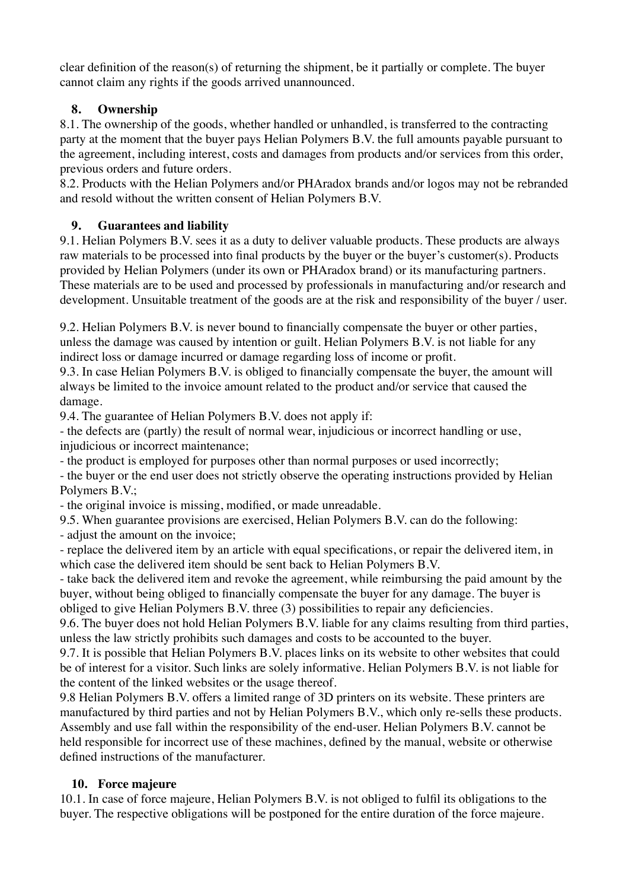clear definition of the reason(s) of returning the shipment, be it partially or complete. The buyer cannot claim any rights if the goods arrived unannounced.

# **8. Ownership**

8.1. The ownership of the goods, whether handled or unhandled, is transferred to the contracting party at the moment that the buyer pays Helian Polymers B.V. the full amounts payable pursuant to the agreement, including interest, costs and damages from products and/or services from this order, previous orders and future orders.

8.2. Products with the Helian Polymers and/or PHAradox brands and/or logos may not be rebranded and resold without the written consent of Helian Polymers B.V.

# **9. Guarantees and liability**

9.1. Helian Polymers B.V. sees it as a duty to deliver valuable products. These products are always raw materials to be processed into final products by the buyer or the buyer's customer(s). Products provided by Helian Polymers (under its own or PHAradox brand) or its manufacturing partners. These materials are to be used and processed by professionals in manufacturing and/or research and development. Unsuitable treatment of the goods are at the risk and responsibility of the buyer / user.

9.2. Helian Polymers B.V. is never bound to financially compensate the buyer or other parties, unless the damage was caused by intention or guilt. Helian Polymers B.V. is not liable for any indirect loss or damage incurred or damage regarding loss of income or profit.

9.3. In case Helian Polymers B.V. is obliged to financially compensate the buyer, the amount will always be limited to the invoice amount related to the product and/or service that caused the damage.

9.4. The guarantee of Helian Polymers B.V. does not apply if:

- the defects are (partly) the result of normal wear, injudicious or incorrect handling or use, injudicious or incorrect maintenance;

- the product is employed for purposes other than normal purposes or used incorrectly;

- the buyer or the end user does not strictly observe the operating instructions provided by Helian Polymers B.V.;

- the original invoice is missing, modified, or made unreadable.

9.5. When guarantee provisions are exercised, Helian Polymers B.V. can do the following:

- adjust the amount on the invoice;

- replace the delivered item by an article with equal specifications, or repair the delivered item, in which case the delivered item should be sent back to Helian Polymers B.V.

- take back the delivered item and revoke the agreement, while reimbursing the paid amount by the buyer, without being obliged to financially compensate the buyer for any damage. The buyer is obliged to give Helian Polymers B.V. three (3) possibilities to repair any deficiencies.

9.6. The buyer does not hold Helian Polymers B.V. liable for any claims resulting from third parties, unless the law strictly prohibits such damages and costs to be accounted to the buyer.

9.7. It is possible that Helian Polymers B.V. places links on its website to other websites that could be of interest for a visitor. Such links are solely informative. Helian Polymers B.V. is not liable for the content of the linked websites or the usage thereof.

9.8 Helian Polymers B.V. offers a limited range of 3D printers on its website. These printers are manufactured by third parties and not by Helian Polymers B.V., which only re-sells these products. Assembly and use fall within the responsibility of the end-user. Helian Polymers B.V. cannot be held responsible for incorrect use of these machines, defined by the manual, website or otherwise defined instructions of the manufacturer.

# **10. Force majeure**

10.1. In case of force majeure, Helian Polymers B.V. is not obliged to fulfil its obligations to the buyer. The respective obligations will be postponed for the entire duration of the force majeure.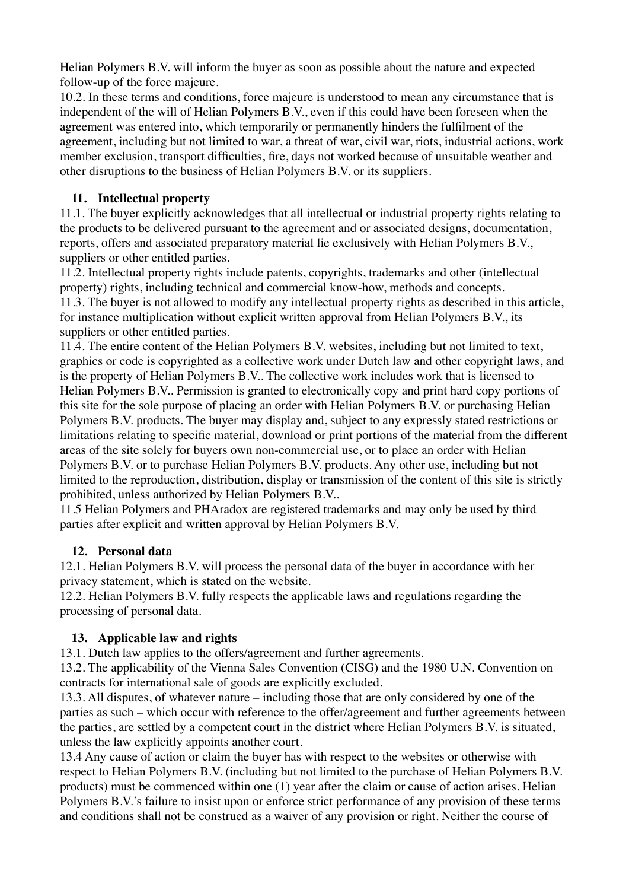Helian Polymers B.V. will inform the buyer as soon as possible about the nature and expected follow-up of the force majeure.

10.2. In these terms and conditions, force majeure is understood to mean any circumstance that is independent of the will of Helian Polymers B.V., even if this could have been foreseen when the agreement was entered into, which temporarily or permanently hinders the fulfilment of the agreement, including but not limited to war, a threat of war, civil war, riots, industrial actions, work member exclusion, transport difficulties, fire, days not worked because of unsuitable weather and other disruptions to the business of Helian Polymers B.V. or its suppliers.

# **11. Intellectual property**

11.1. The buyer explicitly acknowledges that all intellectual or industrial property rights relating to the products to be delivered pursuant to the agreement and or associated designs, documentation, reports, offers and associated preparatory material lie exclusively with Helian Polymers B.V., suppliers or other entitled parties.

11.2. Intellectual property rights include patents, copyrights, trademarks and other (intellectual property) rights, including technical and commercial know-how, methods and concepts. 11.3. The buyer is not allowed to modify any intellectual property rights as described in this article, for instance multiplication without explicit written approval from Helian Polymers B.V., its suppliers or other entitled parties.

11.4. The entire content of the Helian Polymers B.V. websites, including but not limited to text, graphics or code is copyrighted as a collective work under Dutch law and other copyright laws, and is the property of Helian Polymers B.V.. The collective work includes work that is licensed to Helian Polymers B.V.. Permission is granted to electronically copy and print hard copy portions of this site for the sole purpose of placing an order with Helian Polymers B.V. or purchasing Helian Polymers B.V. products. The buyer may display and, subject to any expressly stated restrictions or limitations relating to specific material, download or print portions of the material from the different areas of the site solely for buyers own non-commercial use, or to place an order with Helian Polymers B.V. or to purchase Helian Polymers B.V. products. Any other use, including but not limited to the reproduction, distribution, display or transmission of the content of this site is strictly prohibited, unless authorized by Helian Polymers B.V..

11.5 Helian Polymers and PHAradox are registered trademarks and may only be used by third parties after explicit and written approval by Helian Polymers B.V.

### **12. Personal data**

12.1. Helian Polymers B.V. will process the personal data of the buyer in accordance with her privacy statement, which is stated on the website.

12.2. Helian Polymers B.V. fully respects the applicable laws and regulations regarding the processing of personal data.

# **13. Applicable law and rights**

13.1. Dutch law applies to the offers/agreement and further agreements.

13.2. The applicability of the Vienna Sales Convention (CISG) and the 1980 U.N. Convention on contracts for international sale of goods are explicitly excluded.

13.3. All disputes, of whatever nature – including those that are only considered by one of the parties as such – which occur with reference to the offer/agreement and further agreements between the parties, are settled by a competent court in the district where Helian Polymers B.V. is situated, unless the law explicitly appoints another court.

13.4 Any cause of action or claim the buyer has with respect to the websites or otherwise with respect to Helian Polymers B.V. (including but not limited to the purchase of Helian Polymers B.V. products) must be commenced within one (1) year after the claim or cause of action arises. Helian Polymers B.V.'s failure to insist upon or enforce strict performance of any provision of these terms and conditions shall not be construed as a waiver of any provision or right. Neither the course of